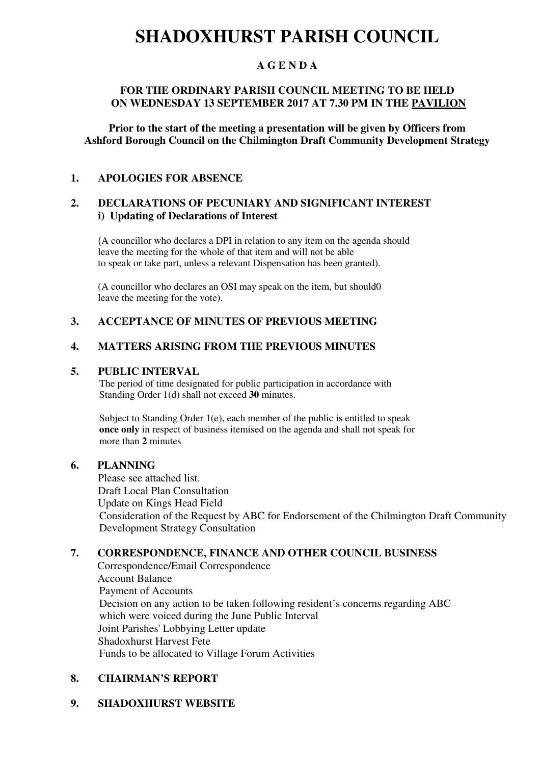## **SHADOXHURST PARISH COUNCIL**

## **A G E N D A**

## **FOR THE ORDINARY PARISH COUNCIL MEETING TO BE HELD ON WEDNESDAY 13 SEPTEMBER 2017 AT 7.30 PM IN THE PAVILION**

**Prior to the start of the meeting a presentation will be given by Officers from Ashford Borough Council on the Chilmington Draft Community Development Strategy** 

## **1. APOLOGIES FOR ABSENCE**

## **2. DECLARATIONS OF PECUNIARY AND SIGNIFICANT INTEREST i) Updating of Declarations of Interest**

(A councillor who declares a DPI in relation to any item on the agenda should leave the meeting for the whole of that item and will not be able to speak or take part, unless a relevant Dispensation has been granted).

(A councillor who declares an OSI may speak on the item, but should0 leave the meeting for the vote).

## **3. ACCEPTANCE OF MINUTES OF PREVIOUS MEETING**

## **4. MATTERS ARISING FROM THE PREVIOUS MINUTES**

#### **5. PUBLIC INTERVAL**

 The period of time designated for public participation in accordance with Standing Order 1(d) shall not exceed **30** minutes.

Subject to Standing Order 1(e), each member of the public is entitled to speak  **once only** in respect of business itemised on the agenda and shall not speak for more than **2** minutes

#### **6. PLANNING**

Please see attached list. Draft Local Plan Consultation Update on Kings Head Field Consideration of the Request by ABC for Endorsement of the Chilmington Draft Community Development Strategy Consultation

## **7. CORRESPONDENCE, FINANCE AND OTHER COUNCIL BUSINESS**

Correspondence/Email Correspondence Account Balance Payment of Accounts Decision on any action to be taken following resident's concerns regarding ABC which were voiced during the June Public Interval Joint Parishes' Lobbying Letter update Shadoxhurst Harvest Fete Funds to be allocated to Village Forum Activities

#### **8. CHAIRMAN'S REPORT**

## **9. SHADOXHURST WEBSITE**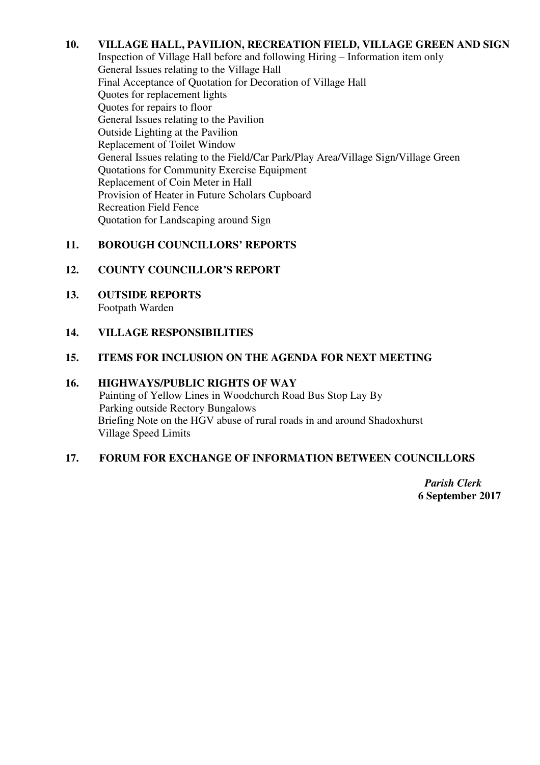## **10. VILLAGE HALL, PAVILION, RECREATION FIELD, VILLAGE GREEN AND SIGN**

Inspection of Village Hall before and following Hiring – Information item only General Issues relating to the Village Hall Final Acceptance of Quotation for Decoration of Village Hall Quotes for replacement lights Quotes for repairs to floor General Issues relating to the Pavilion Outside Lighting at the Pavilion Replacement of Toilet Window General Issues relating to the Field/Car Park/Play Area/Village Sign/Village Green Quotations for Community Exercise Equipment Replacement of Coin Meter in Hall Provision of Heater in Future Scholars Cupboard Recreation Field Fence Quotation for Landscaping around Sign

## **11. BOROUGH COUNCILLORS' REPORTS**

## **12. COUNTY COUNCILLOR'S REPORT**

**13. OUTSIDE REPORTS**  Footpath Warden

#### **14. VILLAGE RESPONSIBILITIES**

#### **15. ITEMS FOR INCLUSION ON THE AGENDA FOR NEXT MEETING**

#### **16. HIGHWAYS/PUBLIC RIGHTS OF WAY**

Painting of Yellow Lines in Woodchurch Road Bus Stop Lay By Parking outside Rectory Bungalows Briefing Note on the HGV abuse of rural roads in and around Shadoxhurst Village Speed Limits

#### **17. FORUM FOR EXCHANGE OF INFORMATION BETWEEN COUNCILLORS**

*Parish Clerk*   **6 September 2017**